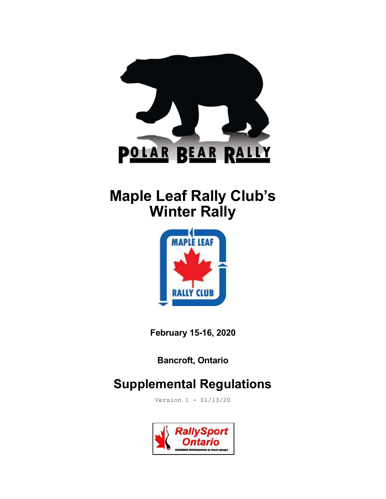

# Maple Leaf Rally Club's **Winter Rally**



February 15-16, 2020

Bancroft, Ontario

## Supplemental Regulations

Version 1 - 01/13/20

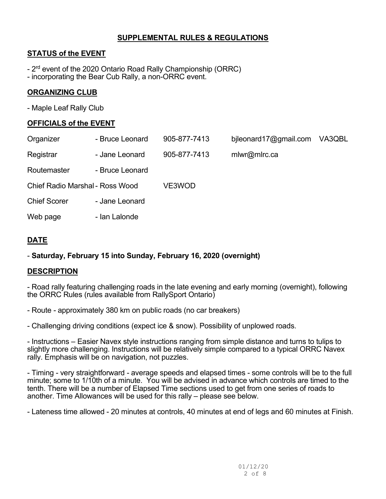## SUPPLEMENTAL RULES & REGULATIONS

## STATUS of the EVENT

- 2<sup>rd</sup> event of the 2020 Ontario Road Rally Championship (ORRC)
- incorporating the Bear Cub Rally, a non-ORRC event.

## ORGANIZING CLUB

- Maple Leaf Rally Club

## OFFICIALS of the EVENT

| Organizer                       | - Bruce Leonard | 905-877-7413 | bileonard17@gmail.com | VA3QBL |
|---------------------------------|-----------------|--------------|-----------------------|--------|
| Registrar                       | - Jane Leonard  | 905-877-7413 | mlwr@mlrc.ca          |        |
| Routemaster                     | - Bruce Leonard |              |                       |        |
| Chief Radio Marshal - Ross Wood |                 | VE3WOD       |                       |        |
| <b>Chief Scorer</b>             | - Jane Leonard  |              |                       |        |
| Web page                        | - Ian Lalonde   |              |                       |        |
|                                 |                 |              |                       |        |

## DATE

## - Saturday, February 15 into Sunday, February 16, 2020 (overnight)

## **DESCRIPTION**

- Road rally featuring challenging roads in the late evening and early morning (overnight), following the ORRC Rules (rules available from RallySport Ontario)

- Route - approximately 380 km on public roads (no car breakers)

- Challenging driving conditions (expect ice & snow). Possibility of unplowed roads.

- Instructions – Easier Navex style instructions ranging from simple distance and turns to tulips to slightly more challenging. Instructions will be relatively simple compared to a typical ORRC Navex rally. Emphasis will be on navigation, not puzzles.

- Timing - very straightforward - average speeds and elapsed times - some controls will be to the full minute; some to 1/10th of a minute. You will be advised in advance which controls are timed to the tenth. There will be a number of Elapsed Time sections used to get from one series of roads to another. Time Allowances will be used for this rally – please see below.

- Lateness time allowed - 20 minutes at controls, 40 minutes at end of legs and 60 minutes at Finish.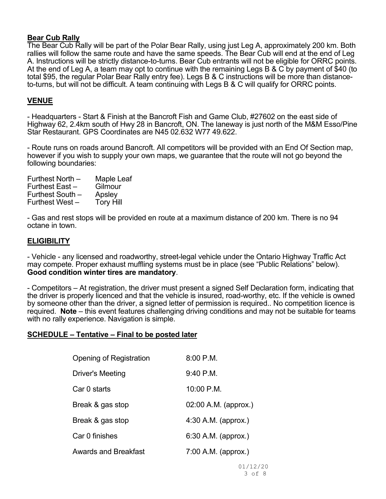#### Bear Cub Rally

The Bear Cub Rally will be part of the Polar Bear Rally, using just Leg A, approximately 200 km. Both rallies will follow the same route and have the same speeds. The Bear Cub will end at the end of Leg A. Instructions will be strictly distance-to-turns. Bear Cub entrants will not be eligible for ORRC points. At the end of Leg A, a team may opt to continue with the remaining Legs B & C by payment of \$40 (to total \$95, the regular Polar Bear Rally entry fee). Legs B & C instructions will be more than distanceto-turns, but will not be difficult. A team continuing with Legs B & C will qualify for ORRC points.

### VENUE

- Headquarters - Start & Finish at the Bancroft Fish and Game Club, #27602 on the east side of Highway 62, 2.4km south of Hwy 28 in Bancroft, ON. The laneway is just north of the M&M Esso/Pine Star Restaurant. GPS Coordinates are N45 02.632 W77 49.622.

- Route runs on roads around Bancroft. All competitors will be provided with an End Of Section map, however if you wish to supply your own maps, we guarantee that the route will not go beyond the following boundaries:

| Furthest North - | Maple Leaf       |
|------------------|------------------|
| Furthest East -  | Gilmour          |
| Furthest South - | Apsley           |
| Furthest West-   | <b>Tory Hill</b> |

- Gas and rest stops will be provided en route at a maximum distance of 200 km. There is no 94 octane in town.

#### **ELIGIBILITY**

- Vehicle - any licensed and roadworthy, street-legal vehicle under the Ontario Highway Traffic Act may compete. Proper exhaust muffling systems must be in place (see "Public Relations" below). Good condition winter tires are mandatory.

- Competitors – At registration, the driver must present a signed Self Declaration form, indicating that the driver is properly licenced and that the vehicle is insured, road-worthy, etc. If the vehicle is owned by someone other than the driver, a signed letter of permission is required.. No competition licence is required. Note – this event features challenging driving conditions and may not be suitable for teams with no rally experience. Navigation is simple.

#### SCHEDULE – Tentative – Final to be posted later

| Opening of Registration     | $8:00$ P.M.            |
|-----------------------------|------------------------|
| <b>Driver's Meeting</b>     | $9:40$ P.M.            |
| Car 0 starts                | 10:00 P.M.             |
| Break & gas stop            | $02:00$ A.M. (approx.) |
| Break & gas stop            | 4:30 A.M. (approx.)    |
| Car 0 finishes              | 6:30 A.M. (approx.)    |
| <b>Awards and Breakfast</b> | 7:00 A.M. (approx.)    |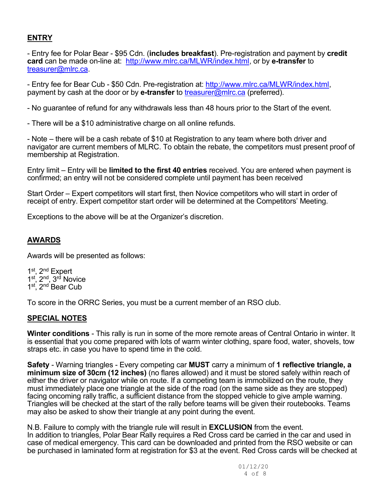## ENTRY

- Entry fee for Polar Bear - \$95 Cdn. (includes breakfast). Pre-registration and payment by credit card can be made on-line at: http://www.mlrc.ca/MLWR/index.html, or by e-transfer to treasurer@mlrc.ca.

- Entry fee for Bear Cub - \$50 Cdn. Pre-registration at: http://www.mlrc.ca/MLWR/index.html, payment by cash at the door or by **e-transfer** to treasurer@mlrc.ca (preferred).

- No guarantee of refund for any withdrawals less than 48 hours prior to the Start of the event.

- There will be a \$10 administrative charge on all online refunds.

- Note – there will be a cash rebate of \$10 at Registration to any team where both driver and navigator are current members of MLRC. To obtain the rebate, the competitors must present proof of membership at Registration.

Entry limit – Entry will be limited to the first 40 entries received. You are entered when payment is confirmed; an entry will not be considered complete until payment has been received

Start Order – Expert competitors will start first, then Novice competitors who will start in order of receipt of entry. Expert competitor start order will be determined at the Competitors' Meeting.

Exceptions to the above will be at the Organizer's discretion.

## AWARDS

Awards will be presented as follows:

1<sup>st</sup>, 2<sup>nd</sup> Expert 1<sup>st</sup>, 2<sup>nd</sup>, 3<sup>rd</sup> Novice 1<sup>st</sup>, 2<sup>nd</sup> Bear Cub

To score in the ORRC Series, you must be a current member of an RSO club.

#### SPECIAL NOTES

Winter conditions - This rally is run in some of the more remote areas of Central Ontario in winter. It is essential that you come prepared with lots of warm winter clothing, spare food, water, shovels, tow straps etc. in case you have to spend time in the cold.

Safety - Warning triangles - Every competing car MUST carry a minimum of 1 reflective triangle, a minimum size of 30cm (12 inches) (no flares allowed) and it must be stored safely within reach of either the driver or navigator while on route. If a competing team is immobilized on the route, they must immediately place one triangle at the side of the road (on the same side as they are stopped) facing oncoming rally traffic, a sufficient distance from the stopped vehicle to give ample warning. Triangles will be checked at the start of the rally before teams will be given their routebooks. Teams may also be asked to show their triangle at any point during the event.

N.B. Failure to comply with the triangle rule will result in **EXCLUSION** from the event. In addition to triangles, Polar Bear Rally requires a Red Cross card be carried in the car and used in case of medical emergency. This card can be downloaded and printed from the RSO website or can be purchased in laminated form at registration for \$3 at the event. Red Cross cards will be checked at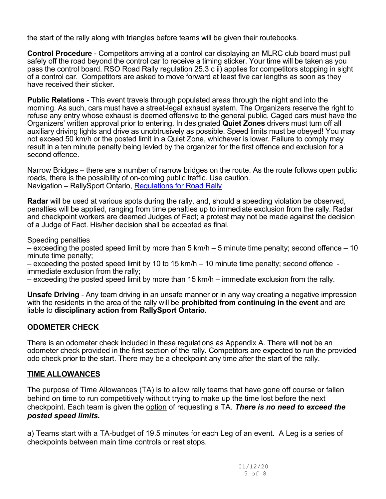the start of the rally along with triangles before teams will be given their routebooks.

Control Procedure - Competitors arriving at a control car displaying an MLRC club board must pull safely off the road beyond the control car to receive a timing sticker. Your time will be taken as you pass the control board. RSO Road Rally regulation 25.3 c ii) applies for competitors stopping in sight of a control car. Competitors are asked to move forward at least five car lengths as soon as they have received their sticker.

**Public Relations** - This event travels through populated areas through the night and into the morning. As such, cars must have a street-legal exhaust system. The Organizers reserve the right to refuse any entry whose exhaust is deemed offensive to the general public. Caged cars must have the Organizers' written approval prior to entering. In designated Quiet Zones drivers must turn off all auxiliary driving lights and drive as unobtrusively as possible. Speed limits must be obeyed! You may not exceed 50 km/h or the posted limit in a Quiet Zone, whichever is lower. Failure to comply may result in a ten minute penalty being levied by the organizer for the first offence and exclusion for a second offence.

Narrow Bridges – there are a number of narrow bridges on the route. As the route follows open public roads, there is the possibility of on-coming public traffic. Use caution. Navigation – RallySport Ontario, Regulations for Road Rally

Radar will be used at various spots during the rally, and, should a speeding violation be observed, penalties will be applied, ranging from time penalties up to immediate exclusion from the rally. Radar and checkpoint workers are deemed Judges of Fact; a protest may not be made against the decision of a Judge of Fact. His/her decision shall be accepted as final.

Speeding penalties

– exceeding the posted speed limit by more than 5 km/h – 5 minute time penalty; second offence – 10 minute time penalty;

– exceeding the posted speed limit by 10 to 15 km/h – 10 minute time penalty; second offence immediate exclusion from the rally;

– exceeding the posted speed limit by more than 15 km/h – immediate exclusion from the rally.

Unsafe Driving - Any team driving in an unsafe manner or in any way creating a negative impression with the residents in the area of the rally will be **prohibited from continuing in the event** and are liable to disciplinary action from RallySport Ontario.

## ODOMETER CHECK

There is an odometer check included in these regulations as Appendix A. There will not be an odometer check provided in the first section of the rally. Competitors are expected to run the provided odo check prior to the start. There may be a checkpoint any time after the start of the rally.

## TIME ALLOWANCES

The purpose of Time Allowances (TA) is to allow rally teams that have gone off course or fallen behind on time to run competitively without trying to make up the time lost before the next checkpoint. Each team is given the option of requesting a TA. There is no need to exceed the posted speed limits.

a) Teams start with a TA-budget of 19.5 minutes for each Leg of an event. A Leg is a series of checkpoints between main time controls or rest stops.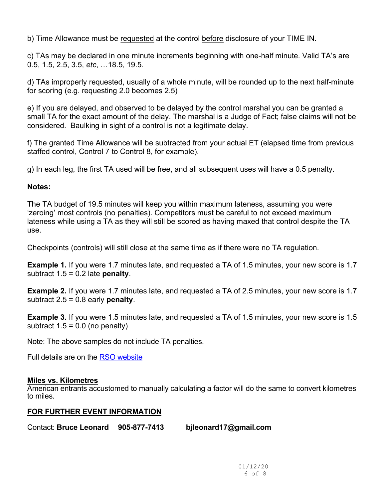b) Time Allowance must be requested at the control before disclosure of your TIME IN.

c) TAs may be declared in one minute increments beginning with one-half minute. Valid TA's are 0.5, 1.5, 2.5, 3.5, etc, …18.5, 19.5.

d) TAs improperly requested, usually of a whole minute, will be rounded up to the next half-minute for scoring (e.g. requesting 2.0 becomes 2.5)

e) If you are delayed, and observed to be delayed by the control marshal you can be granted a small TA for the exact amount of the delay. The marshal is a Judge of Fact; false claims will not be considered. Baulking in sight of a control is not a legitimate delay.

f) The granted Time Allowance will be subtracted from your actual ET (elapsed time from previous staffed control, Control 7 to Control 8, for example).

g) In each leg, the first TA used will be free, and all subsequent uses will have a 0.5 penalty.

## Notes:

The TA budget of 19.5 minutes will keep you within maximum lateness, assuming you were 'zeroing' most controls (no penalties). Competitors must be careful to not exceed maximum lateness while using a TA as they will still be scored as having maxed that control despite the TA use.

Checkpoints (controls) will still close at the same time as if there were no TA regulation.

**Example 1.** If you were 1.7 minutes late, and requested a TA of 1.5 minutes, your new score is 1.7 subtract  $1.5 = 0.2$  late **penalty**.

Example 2. If you were 1.7 minutes late, and requested a TA of 2.5 minutes, your new score is 1.7 subtract  $2.5 = 0.8$  early **penalty**.

Example 3. If you were 1.5 minutes late, and requested a TA of 1.5 minutes, your new score is 1.5 subtract  $1.5 = 0.0$  (no penalty)

Note: The above samples do not include TA penalties.

Full details are on the RSO website

## Miles vs. Kilometres

American entrants accustomed to manually calculating a factor will do the same to convert kilometres to miles.

## FOR FURTHER EVENT INFORMATION

Contact: Bruce Leonard 905-877-7413 bjleonard17@gmail.com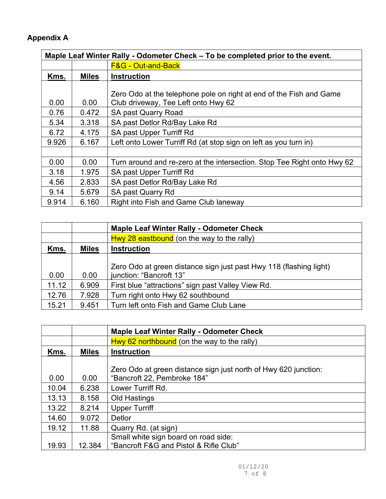## Appendix A

| Maple Leaf Winter Rally - Odometer Check - To be completed prior to the event. |              |                                                                                                            |  |
|--------------------------------------------------------------------------------|--------------|------------------------------------------------------------------------------------------------------------|--|
|                                                                                |              | <b>F&amp;G - Out-and-Back</b>                                                                              |  |
| Kms.                                                                           | <b>Miles</b> | <b>Instruction</b>                                                                                         |  |
| 0.00                                                                           | 0.00         | Zero Odo at the telephone pole on right at end of the Fish and Game<br>Club driveway, Tee Left onto Hwy 62 |  |
| 0.76                                                                           | 0.472        | <b>SA past Quarry Road</b>                                                                                 |  |
| 5.34                                                                           | 3.318        | SA past Detlor Rd/Bay Lake Rd                                                                              |  |
| 6.72                                                                           | 4.175        | SA past Upper Turriff Rd                                                                                   |  |
| 9.926                                                                          | 6.167        | Left onto Lower Turriff Rd (at stop sign on left as you turn in)                                           |  |
|                                                                                |              |                                                                                                            |  |
| 0.00                                                                           | 0.00         | Turn around and re-zero at the intersection. Stop Tee Right onto Hwy 62                                    |  |
| 3.18                                                                           | 1.975        | SA past Upper Turriff Rd                                                                                   |  |
| 4.56                                                                           | 2.833        | SA past Detlor Rd/Bay Lake Rd                                                                              |  |
| 9.14                                                                           | 5.679        | SA past Quarry Rd                                                                                          |  |
| 9.914                                                                          | 6.160        | Right into Fish and Game Club laneway                                                                      |  |

|       |              | <b>Maple Leaf Winter Rally - Odometer Check</b>                    |  |  |
|-------|--------------|--------------------------------------------------------------------|--|--|
|       |              | $Hwy 28$ eastbound (on the way to the rally)                       |  |  |
| Kms.  | <b>Miles</b> | <b>Instruction</b>                                                 |  |  |
|       |              |                                                                    |  |  |
|       |              | Zero Odo at green distance sign just past Hwy 118 (flashing light) |  |  |
| 0.00  | 0.00         | junction: "Bancroft 13"                                            |  |  |
| 11.12 | 6.909        | First blue "attractions" sign past Valley View Rd.                 |  |  |
| 12.76 | 7.928        | Turn right onto Hwy 62 southbound                                  |  |  |
| 15.21 | 9.451        | Turn left onto Fish and Game Club Lane                             |  |  |

|       |              | <b>Maple Leaf Winter Rally - Odometer Check</b>                 |
|-------|--------------|-----------------------------------------------------------------|
|       |              | $Hwy$ 62 northbound (on the way to the rally)                   |
| Kms.  | <b>Miles</b> | <b>Instruction</b>                                              |
|       |              |                                                                 |
|       |              | Zero Odo at green distance sign just north of Hwy 620 junction: |
| 0.00  | 0.00         | "Bancroft 22, Pembroke 184"                                     |
| 10.04 | 6.238        | Lower Turriff Rd.                                               |
| 13.13 | 8.158        | Old Hastings                                                    |
| 13.22 | 8.214        | <b>Upper Turriff</b>                                            |
| 14.60 | 9.072        | Detlor                                                          |
| 19.12 | 11.88        | Quarry Rd. (at sign)                                            |
|       |              | Small white sign board on road side:                            |
| 19.93 | 12.384       | "Bancroft F&G and Pistol & Rifle Club"                          |